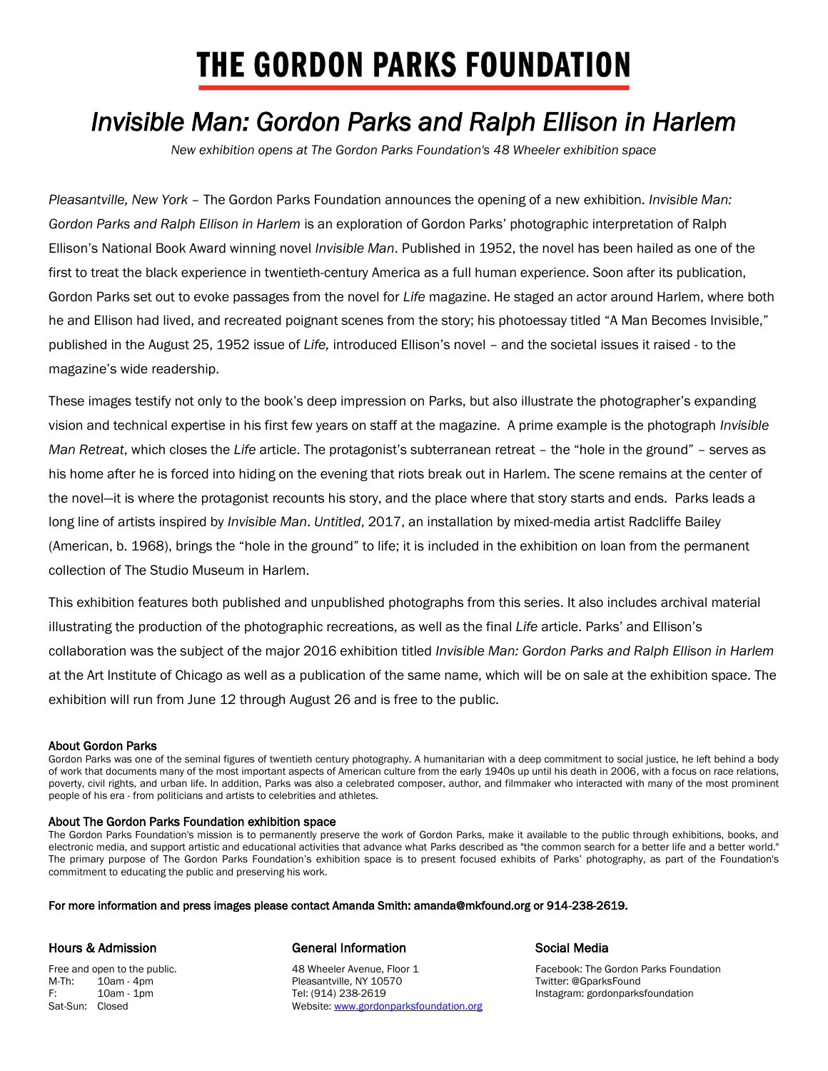# **THE GORDON PARKS FOUNDATION**

## *Invisible Man: Gordon Parks and Ralph Ellison in Harlem*

*New exhibition opens at The Gordon Parks Foundation's 48 Wheeler exhibition space* 

*Pleasantville, New York* – The Gordon Parks Foundation announces the opening of a new exhibition. *Invisible Man: Gordon Parks and Ralph Ellison in Harlem* is an exploration of Gordon Parks' photographic interpretation of Ralph Ellison's National Book Award winning novel *Invisible Man*. Published in 1952, the novel has been hailed as one of the first to treat the black experience in twentieth-century America as a full human experience. Soon after its publication, Gordon Parks set out to evoke passages from the novel for *Life* magazine. He staged an actor around Harlem, where both he and Ellison had lived, and recreated poignant scenes from the story; his photoessay titled "A Man Becomes Invisible," published in the August 25, 1952 issue of *Life,* introduced Ellison's novel – and the societal issues it raised - to the magazine's wide readership.

These images testify not only to the book's deep impression on Parks, but also illustrate the photographer's expanding vision and technical expertise in his first few years on staff at the magazine. A prime example is the photograph *Invisible Man Retreat*, which closes the *Life* article. The protagonist's subterranean retreat – the "hole in the ground" – serves as his home after he is forced into hiding on the evening that riots break out in Harlem. The scene remains at the center of the novel—it is where the protagonist recounts his story, and the place where that story starts and ends. Parks leads a long line of artists inspired by *Invisible Man*. *Untitled*, 2017, an installation by mixed-media artist Radcliffe Bailey (American, b. 1968), brings the "hole in the ground" to life; it is included in the exhibition on loan from the permanent collection of The Studio Museum in Harlem.

This exhibition features both published and unpublished photographs from this series. It also includes archival material illustrating the production of the photographic recreations, as well as the final *Life* article. Parks' and Ellison's collaboration was the subject of the major 2016 exhibition titled *Invisible Man: Gordon Parks and Ralph Ellison in Harlem* at the Art Institute of Chicago as well as a publication of the same name, which will be on sale at the exhibition space. The exhibition will run from June 12 through August 26 and is free to the public.

### About Gordon Parks

Gordon Parks was one of the seminal figures of twentieth century photography. A humanitarian with a deep commitment to social justice, he left behind a body of work that documents many of the most important aspects of American culture from the early 1940s up until his death in 2006, with a focus on race relations, poverty, civil rights, and urban life. In addition, Parks was also a celebrated composer, author, and filmmaker who interacted with many of the most prominent people of his era - from politicians and artists to celebrities and athletes.

### About The Gordon Parks Foundation exhibition space

The Gordon Parks Foundation's mission is to permanently preserve the work of Gordon Parks, make it available to the public through exhibitions, books, and electronic media, and support artistic and educational activities that advance what Parks described as "the common search for a better life and a better world." The primary purpose of The Gordon Parks Foundation's exhibition space is to present focused exhibits of Parks' photography, as part of the Foundation's commitment to educating the public and preserving his work.

#### For more information and press images please contact Amanda Smith: amanda@mkfound.org or 914-238-2619.

M-Th: 10am - 4pm Pleasantville, NY 10570<br>F: 10am - 1pm Tel: (914) 238-2619

#### Hours & Admission General Information Social Media

Free and open to the public. <br>
M-Th: 
10am - 4pm 
49 Wheeler Avenue, Floor 1 Facebook: The Gordon Parks Foundation<br>
M-Th: 
10am - 4pm 
10am - 4pm F: 10am - 1pm Tel: (914) 238-2619 Instagram: gordonparksfoundation Sat-Sun: Closed **Website:** Website[: www.gordonparksfoundation.org](www.gordonparksfoundation.org)